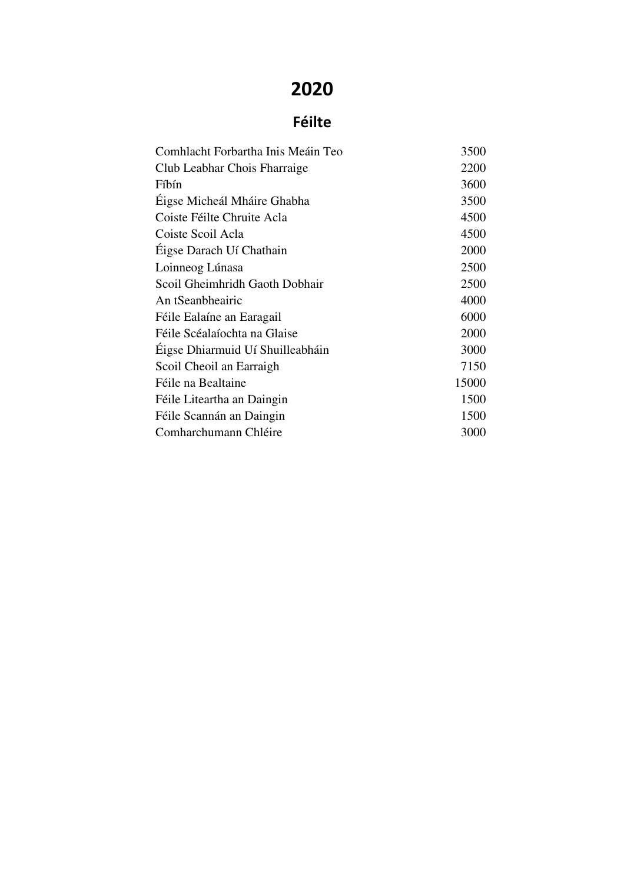## 2020

## Féilte

| Comhlacht Forbartha Inis Meáin Teo | 3500  |
|------------------------------------|-------|
| Club Leabhar Chois Fharraige       | 2200  |
| Fíbín                              | 3600  |
| Éigse Micheál Mháire Ghabha        | 3500  |
| Coiste Féilte Chruite Acla         | 4500  |
| Coiste Scoil Acla                  | 4500  |
| Éigse Darach Uí Chathain           | 2000  |
| Loinneog Lúnasa                    | 2500  |
| Scoil Gheimhridh Gaoth Dobhair     | 2500  |
| An tSeanbheairic                   | 4000  |
| Féile Ealaíne an Earagail          | 6000  |
| Féile Scéalaíochta na Glaise       | 2000  |
| Éigse Dhiarmuid Uí Shuilleabháin   | 3000  |
| Scoil Cheoil an Earraigh           | 7150  |
| Féile na Bealtaine                 | 15000 |
| Féile Liteartha an Daingin         | 1500  |
| Féile Scannán an Daingin           | 1500  |
| Comharchumann Chléire              | 3000  |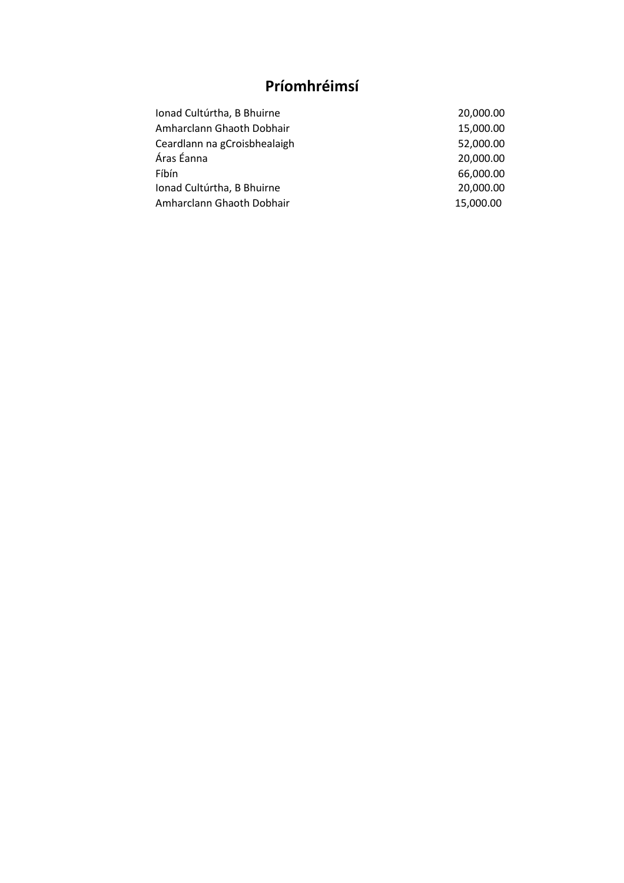## Príomhréimsí

| 20,000.00 |
|-----------|
| 15,000.00 |
| 52,000.00 |
| 20,000.00 |
| 66,000.00 |
| 20,000.00 |
| 15,000.00 |
|           |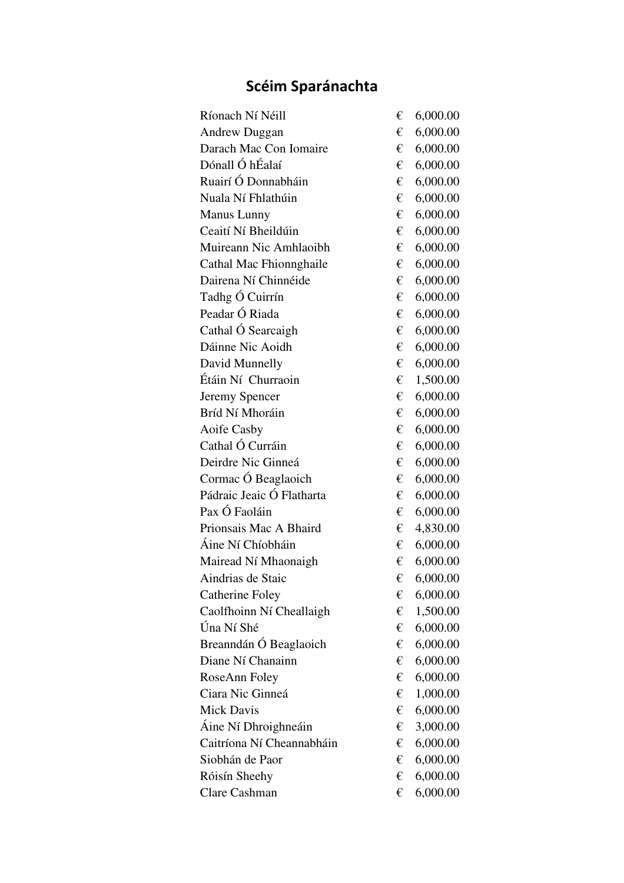## Scéim Sparánachta

| Ríonach Ní Néill          | € | 6,000.00 |
|---------------------------|---|----------|
| <b>Andrew Duggan</b>      | € | 6,000.00 |
| Darach Mac Con Iomaire    | € | 6,000.00 |
| Dónall Ó hÉalaí           | € | 6,000.00 |
| Ruairí Ó Donnabháin       | € | 6,000.00 |
| Nuala Ní Fhlathúin        | € | 6,000.00 |
| <b>Manus Lunny</b>        | € | 6,000.00 |
| Ceaití Ní Bheildúin       | € | 6,000.00 |
| Muireann Nic Amhlaoibh    | € | 6,000.00 |
| Cathal Mac Fhionnghaile   | € | 6,000.00 |
| Dairena Ní Chinnéide      | € | 6,000.00 |
| Tadhg Ó Cuirrín           | € | 6,000.00 |
| Peadar Ó Riada            | € | 6,000.00 |
| Cathal Ó Searcaigh        | € | 6,000.00 |
| Dáinne Nic Aoidh          | € | 6,000.00 |
| David Munnelly            | € | 6,000.00 |
| Étáin Ní Churraoin        | € | 1,500.00 |
| Jeremy Spencer            | € | 6,000.00 |
| Bríd Ní Mhoráin           | € | 6,000.00 |
| Aoife Casby               | € | 6,000.00 |
| Cathal Ó Curráin          | € | 6,000.00 |
| Deirdre Nic Ginneá        | € | 6,000.00 |
| Cormac Ó Beaglaoich       | € | 6,000.00 |
| Pádraic Jeaic Ó Flatharta | € | 6,000.00 |
| Pax Ó Faoláin             | € | 6,000.00 |
| Prionsais Mac A Bhaird    | € | 4,830.00 |
| Áine Ní Chíobháin         | € | 6,000.00 |
| Mairead Ní Mhaonaigh      | € | 6,000.00 |
| Aindrias de Staic         | € | 6,000.00 |
| <b>Catherine Foley</b>    | € | 6,000.00 |
| Caolfhoinn Ní Cheallaigh  | € | 1,500.00 |
| Úna Ní Shé                | € | 6,000.00 |
| Breanndán Ó Beaglaoich    | € | 6,000.00 |
| Diane Ní Chanainn         | € | 6,000.00 |
| RoseAnn Foley             | € | 6,000.00 |
| Ciara Nic Ginneá          | € | 1,000.00 |
| <b>Mick Davis</b>         | € | 6,000.00 |
| Áine Ní Dhroighneáin      | € | 3,000.00 |
| Caitríona Ní Cheannabháin | € | 6,000.00 |
| Siobhán de Paor           | € | 6,000.00 |
| Róisín Sheehy             | € | 6,000.00 |
| Clare Cashman             | € | 6,000.00 |